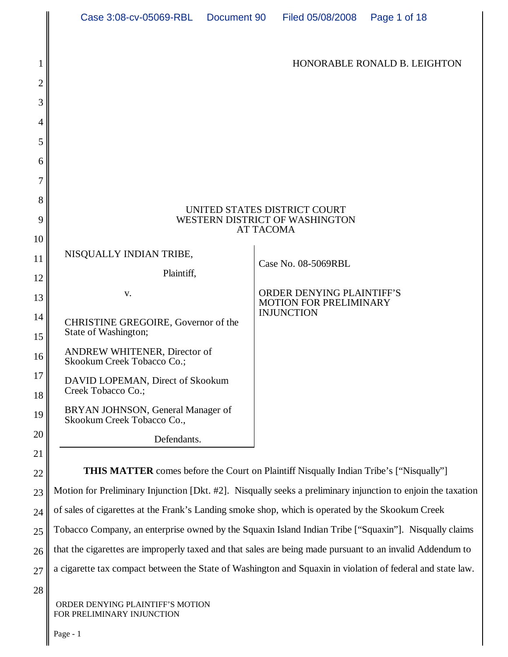|          | Case 3:08-cv-05069-RBL  Document 90                                                                          | Page 1 of 18<br>Filed 05/08/2008                   |
|----------|--------------------------------------------------------------------------------------------------------------|----------------------------------------------------|
|          |                                                                                                              |                                                    |
|          |                                                                                                              | HONORABLE RONALD B. LEIGHTON                       |
| 2        |                                                                                                              |                                                    |
| 3        |                                                                                                              |                                                    |
| 4        |                                                                                                              |                                                    |
| 5        |                                                                                                              |                                                    |
| 6        |                                                                                                              |                                                    |
| 7        |                                                                                                              |                                                    |
| 8        | UNITED STATES DISTRICT COURT                                                                                 |                                                    |
| 9        | WESTERN DISTRICT OF WASHINGTON<br><b>AT TACOMA</b>                                                           |                                                    |
| 10       | NISQUALLY INDIAN TRIBE,                                                                                      |                                                    |
| 11       | Plaintiff,                                                                                                   | Case No. 08-5069RBL                                |
| 12<br>13 | V.                                                                                                           | ORDER DENYING PLAINTIFF'S                          |
| 14       |                                                                                                              | <b>MOTION FOR PRELIMINARY</b><br><b>INJUNCTION</b> |
| 15       | CHRISTINE GREGOIRE, Governor of the<br>State of Washington;                                                  |                                                    |
| 16       | ANDREW WHITENER, Director of<br>Skookum Creek Tobacco Co.;                                                   |                                                    |
| 17<br>18 | DAVID LOPEMAN, Direct of Skookum<br>Creek Tobacco Co.;                                                       |                                                    |
| 19       | BRYAN JOHNSON, General Manager of<br>Skookum Creek Tobacco Co.,                                              |                                                    |
| 20       | Defendants.                                                                                                  |                                                    |
| 21       |                                                                                                              |                                                    |
| 22       | <b>THIS MATTER</b> comes before the Court on Plaintiff Nisqually Indian Tribe's ["Nisqually"]                |                                                    |
| 23       | Motion for Preliminary Injunction [Dkt. #2]. Nisqually seeks a preliminary injunction to enjoin the taxation |                                                    |
| 24       | of sales of cigarettes at the Frank's Landing smoke shop, which is operated by the Skookum Creek             |                                                    |
| 25       | Tobacco Company, an enterprise owned by the Squaxin Island Indian Tribe ["Squaxin"]. Nisqually claims        |                                                    |
| 26       | that the cigarettes are improperly taxed and that sales are being made pursuant to an invalid Addendum to    |                                                    |
| 27       | a cigarette tax compact between the State of Washington and Squaxin in violation of federal and state law.   |                                                    |
| 28       |                                                                                                              |                                                    |

 ORDER DENYING PLAINTIFF'S MOTION FOR PRELIMINARY INJUNCTION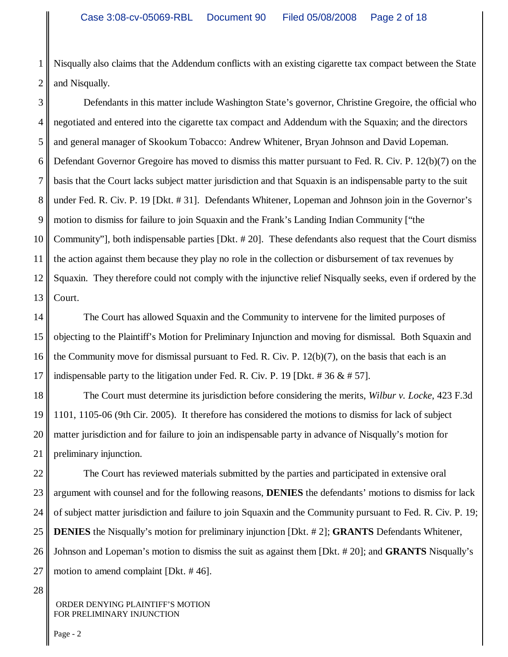1 2 Nisqually also claims that the Addendum conflicts with an existing cigarette tax compact between the State and Nisqually.

3 4 5 6 7 8 9 10 11 12 13 Defendants in this matter include Washington State's governor, Christine Gregoire, the official who negotiated and entered into the cigarette tax compact and Addendum with the Squaxin; and the directors and general manager of Skookum Tobacco: Andrew Whitener, Bryan Johnson and David Lopeman. Defendant Governor Gregoire has moved to dismiss this matter pursuant to Fed. R. Civ. P. 12(b)(7) on the basis that the Court lacks subject matter jurisdiction and that Squaxin is an indispensable party to the suit under Fed. R. Civ. P. 19 [Dkt. # 31]. Defendants Whitener, Lopeman and Johnson join in the Governor's motion to dismiss for failure to join Squaxin and the Frank's Landing Indian Community ["the Community"], both indispensable parties [Dkt. # 20]. These defendants also request that the Court dismiss the action against them because they play no role in the collection or disbursement of tax revenues by Squaxin. They therefore could not comply with the injunctive relief Nisqually seeks, even if ordered by the Court.

14 15 16 17 The Court has allowed Squaxin and the Community to intervene for the limited purposes of objecting to the Plaintiff's Motion for Preliminary Injunction and moving for dismissal. Both Squaxin and the Community move for dismissal pursuant to Fed. R. Civ. P. 12(b)(7), on the basis that each is an indispensable party to the litigation under Fed. R. Civ. P. 19 [Dkt.  $\# 36 \& \# 57$ ].

18 19 20 21 The Court must determine its jurisdiction before considering the merits, *Wilbur v. Locke*, 423 F.3d 1101, 1105-06 (9th Cir. 2005). It therefore has considered the motions to dismiss for lack of subject matter jurisdiction and for failure to join an indispensable party in advance of Nisqually's motion for preliminary injunction.

22 23 24 25 26 27 The Court has reviewed materials submitted by the parties and participated in extensive oral argument with counsel and for the following reasons, **DENIES** the defendants' motions to dismiss for lack of subject matter jurisdiction and failure to join Squaxin and the Community pursuant to Fed. R. Civ. P. 19; **DENIES** the Nisqually's motion for preliminary injunction [Dkt. # 2]; **GRANTS** Defendants Whitener, Johnson and Lopeman's motion to dismiss the suit as against them [Dkt. # 20]; and **GRANTS** Nisqually's motion to amend complaint [Dkt. # 46].

28

 ORDER DENYING PLAINTIFF'S MOTION FOR PRELIMINARY INJUNCTION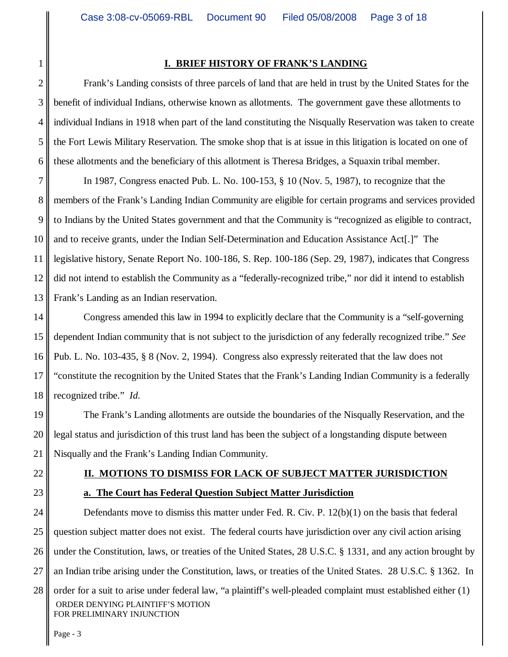#### **I. BRIEF HISTORY OF FRANK'S LANDING**

Frank's Landing consists of three parcels of land that are held in trust by the United States for the benefit of individual Indians, otherwise known as allotments. The government gave these allotments to individual Indians in 1918 when part of the land constituting the Nisqually Reservation was taken to create the Fort Lewis Military Reservation. The smoke shop that is at issue in this litigation is located on one of these allotments and the beneficiary of this allotment is Theresa Bridges, a Squaxin tribal member.

7 8 9 10 11 12 13 In 1987, Congress enacted Pub. L. No. 100-153, § 10 (Nov. 5, 1987), to recognize that the members of the Frank's Landing Indian Community are eligible for certain programs and services provided to Indians by the United States government and that the Community is "recognized as eligible to contract, and to receive grants, under the Indian Self-Determination and Education Assistance Act[.]" The legislative history, Senate Report No. 100-186, S. Rep. 100-186 (Sep. 29, 1987), indicates that Congress did not intend to establish the Community as a "federally-recognized tribe," nor did it intend to establish Frank's Landing as an Indian reservation.

14 15 16 17 18 Congress amended this law in 1994 to explicitly declare that the Community is a "self-governing dependent Indian community that is not subject to the jurisdiction of any federally recognized tribe." *See* Pub. L. No. 103-435, § 8 (Nov. 2, 1994). Congress also expressly reiterated that the law does not "constitute the recognition by the United States that the Frank's Landing Indian Community is a federally recognized tribe." *Id.*

19 20 21 The Frank's Landing allotments are outside the boundaries of the Nisqually Reservation, and the legal status and jurisdiction of this trust land has been the subject of a longstanding dispute between Nisqually and the Frank's Landing Indian Community.

#### 22

#### **II. MOTIONS TO DISMISS FOR LACK OF SUBJECT MATTER JURISDICTION**

- 23
- 24 25 26 27 28 ORDER DENYING PLAINTIFF'S MOTION FOR PRELIMINARY INJUNCTION Defendants move to dismiss this matter under Fed. R. Civ. P. 12(b)(1) on the basis that federal question subject matter does not exist. The federal courts have jurisdiction over any civil action arising under the Constitution, laws, or treaties of the United States, 28 U.S.C. § 1331, and any action brought by an Indian tribe arising under the Constitution, laws, or treaties of the United States. 28 U.S.C. § 1362.In order for a suit to arise under federal law, "a plaintiff's well-pleaded complaint must established either (1)

**a. The Court has Federal Question Subject Matter Jurisdiction**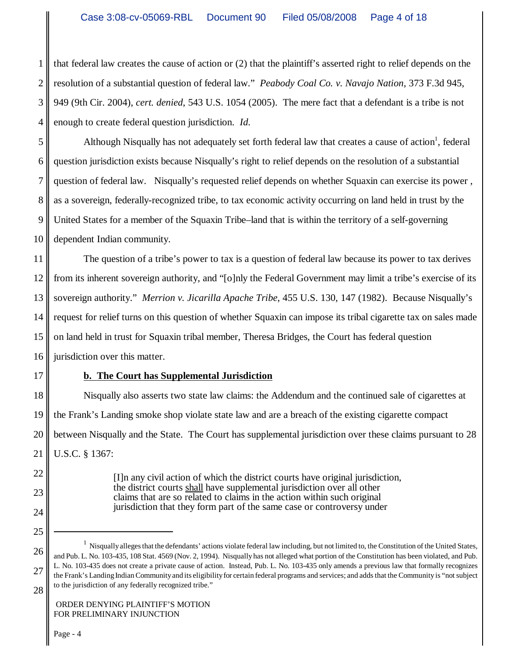1 2 3 4 that federal law creates the cause of action or (2) that the plaintiff's asserted right to relief depends on the resolution of a substantial question of federal law." *Peabody Coal Co. v. Navajo Nation*, 373 F.3d 945, 949 (9th Cir. 2004), *cert. denied*, 543 U.S. 1054 (2005). The mere fact that a defendant is a tribe is not enough to create federal question jurisdiction. *Id.*

5 6 7 8 9 10 Although Nisqually has not adequately set forth federal law that creates a cause of action<sup>1</sup>, federal question jurisdiction exists because Nisqually's right to relief depends on the resolution of a substantial question of federal law. Nisqually's requested relief depends on whether Squaxin can exercise its power , as a sovereign, federally-recognized tribe, to tax economic activity occurring on land held in trust by the United States for a member of the Squaxin Tribe–land that is within the territory of a self-governing dependent Indian community.

11 12 13 14 15 16 The question of a tribe's power to tax is a question of federal law because its power to tax derives from its inherent sovereign authority, and "[o]nly the Federal Government may limit a tribe's exercise of its sovereign authority." *Merrion v. Jicarilla Apache Tribe*, 455 U.S. 130, 147 (1982). Because Nisqually's request for relief turns on this question of whether Squaxin can impose its tribal cigarette tax on sales made on land held in trust for Squaxin tribal member, Theresa Bridges, the Court has federal question jurisdiction over this matter.

## **b. The Court has Supplemental Jurisdiction**

18 19 20 21 Nisqually also asserts two state law claims: the Addendum and the continued sale of cigarettes at the Frank's Landing smoke shop violate state law and are a breach of the existing cigarette compact between Nisqually and the State. The Court has supplemental jurisdiction over these claims pursuant to 28 U.S.C. § 1367:

> [I]n any civil action of which the district courts have original jurisdiction, the district courts shall have supplemental jurisdiction over all other claims that are so related to claims in the action within such original jurisdiction that they form part of the same case or controversy under

22

23

24

<sup>25</sup>

<sup>26</sup> 27 28 <sup>1</sup> Nisqually alleges that the defendants' actions violate federal law including, but not limited to, the Constitution of the United States, and Pub. L. No. 103-435, 108 Stat. 4569 (Nov. 2, 1994). Nisqually has not alleged what portion of the Constitution has been violated, and Pub. L. No. 103-435 does not create a private cause of action. Instead, Pub. L. No. 103-435 only amends a previous law that formally recognizes the Frank's Landing Indian Community and its eligibility for certain federal programs and services; and adds that the Community is "not subject to the jurisdiction of any federally recognized tribe."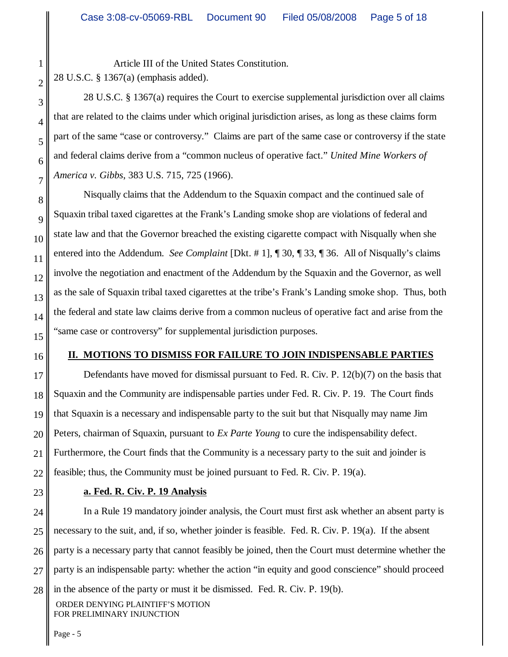Article III of the United States Constitution. 28 U.S.C. § 1367(a) (emphasis added).

28 U.S.C. § 1367(a) requires the Court to exercise supplemental jurisdiction over all claims that are related to the claims under which original jurisdiction arises, as long as these claims form part of the same "case or controversy." Claims are part of the same case or controversy if the state and federal claims derive from a "common nucleus of operative fact." *United Mine Workers of America v. Gibbs*, 383 U.S. 715, 725 (1966).

Nisqually claims that the Addendum to the Squaxin compact and the continued sale of Squaxin tribal taxed cigarettes at the Frank's Landing smoke shop are violations of federal and state law and that the Governor breached the existing cigarette compact with Nisqually when she entered into the Addendum. *See Complaint* [Dkt. # 1], ¶ 30, ¶ 33, ¶ 36. All of Nisqually's claims involve the negotiation and enactment of the Addendum by the Squaxin and the Governor, as well as the sale of Squaxin tribal taxed cigarettes at the tribe's Frank's Landing smoke shop. Thus, both the federal and state law claims derive from a common nucleus of operative fact and arise from the "same case or controversy" for supplemental jurisdiction purposes.

#### **II. MOTIONS TO DISMISS FOR FAILURE TO JOIN INDISPENSABLE PARTIES**

Defendants have moved for dismissal pursuant to Fed. R. Civ. P. 12(b)(7) on the basis that Squaxin and the Community are indispensable parties under Fed. R. Civ. P. 19. The Court finds that Squaxin is a necessary and indispensable party to the suit but that Nisqually may name Jim Peters, chairman of Squaxin, pursuant to *Ex Parte Young* to cure the indispensability defect. Furthermore, the Court finds that the Community is a necessary party to the suit and joinder is feasible; thus, the Community must be joined pursuant to Fed. R. Civ. P. 19(a).

23

## **a. Fed. R. Civ. P. 19 Analysis**

24 25 26 27 28 ORDER DENYING PLAINTIFF'S MOTION FOR PRELIMINARY INJUNCTION In a Rule 19 mandatory joinder analysis, the Court must first ask whether an absent party is necessary to the suit, and, if so, whether joinder is feasible. Fed. R. Civ. P. 19(a). If the absent party is a necessary party that cannot feasibly be joined, then the Court must determine whether the party is an indispensable party: whether the action "in equity and good conscience" should proceed in the absence of the party or must it be dismissed. Fed. R. Civ. P. 19(b).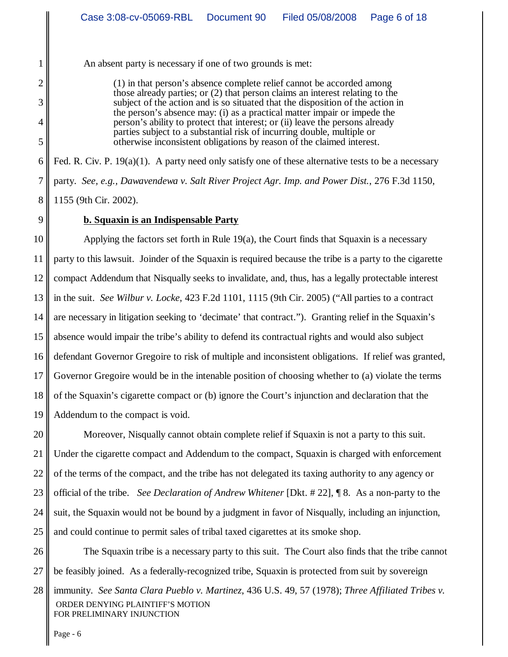An absent party is necessary if one of two grounds is met:

(1) in that person's absence complete relief cannot be accorded among those already parties; or (2) that person claims an interest relating to the subject of the action and is so situated that the disposition of the action in the person's absence may: (i) as a practical matter impair or impede the person's ability to protect that interest; or (ii) leave the persons already parties subject to a substantial risk of incurring double, multiple or otherwise inconsistent obligations by reason of the claimed interest.

6 7 8 Fed. R. Civ. P. 19(a)(1). A party need only satisfy one of these alternative tests to be a necessary party. *See, e.g., Dawavendewa v. Salt River Project Agr. Imp. and Power Dist.*, 276 F.3d 1150, 1155 (9th Cir. 2002).

9

1

2

3

4

5

## **b. Squaxin is an Indispensable Party**

10 11 12 13 14 15 16 17 18 19 Applying the factors set forth in Rule 19(a), the Court finds that Squaxin is a necessary party to this lawsuit. Joinder of the Squaxin is required because the tribe is a party to the cigarette compact Addendum that Nisqually seeks to invalidate, and, thus, has a legally protectable interest in the suit. *See Wilbur v. Locke*, 423 F.2d 1101, 1115 (9th Cir. 2005) ("All parties to a contract are necessary in litigation seeking to 'decimate' that contract."). Granting relief in the Squaxin's absence would impair the tribe's ability to defend its contractual rights and would also subject defendant Governor Gregoire to risk of multiple and inconsistent obligations. If relief was granted, Governor Gregoire would be in the intenable position of choosing whether to (a) violate the terms of the Squaxin's cigarette compact or (b) ignore the Court's injunction and declaration that the Addendum to the compact is void.

20 21 22 23 24 25 Moreover, Nisqually cannot obtain complete relief if Squaxin is not a party to this suit. Under the cigarette compact and Addendum to the compact, Squaxin is charged with enforcement of the terms of the compact, and the tribe has not delegated its taxing authority to any agency or official of the tribe. *See Declaration of Andrew Whitener* [Dkt. # 22], ¶ 8. As a non-party to the suit, the Squaxin would not be bound by a judgment in favor of Nisqually, including an injunction, and could continue to permit sales of tribal taxed cigarettes at its smoke shop.

26 27 28 The Squaxin tribe is a necessary party to this suit. The Court also finds that the tribe cannot be feasibly joined. As a federally-recognized tribe, Squaxin is protected from suit by sovereign immunity. *See Santa Clara Pueblo v. Martinez*, 436 U.S. 49, 57 (1978); *Three Affiliated Tribes v.*

 ORDER DENYING PLAINTIFF'S MOTION FOR PRELIMINARY INJUNCTION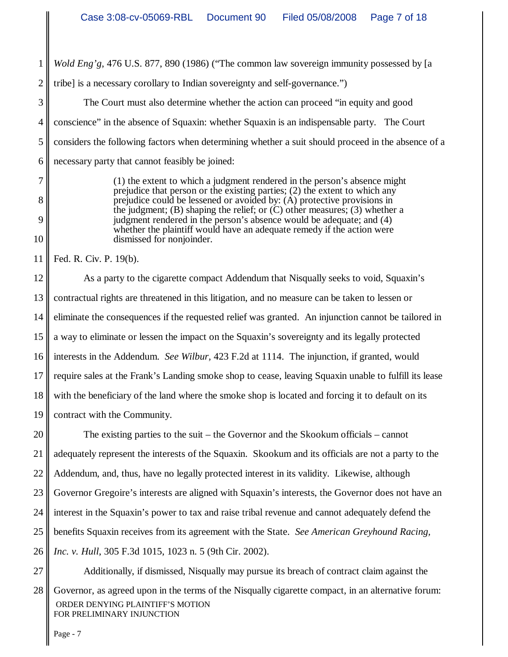*Wold Eng'g*, 476 U.S. 877, 890 (1986) ("The common law sovereign immunity possessed by [a

2 tribe] is a necessary corollary to Indian sovereignty and self-governance.")

3 4 5 6 The Court must also determine whether the action can proceed "in equity and good conscience" in the absence of Squaxin: whether Squaxin is an indispensable party. The Court considers the following factors when determining whether a suit should proceed in the absence of a necessary party that cannot feasibly be joined:

> (1) the extent to which a judgment rendered in the person's absence might prejudice that person or the existing parties; (2) the extent to which any prejudice could be lessened or avoided by: (A) protective provisions in the judgment; (B) shaping the relief; or  $(C)$  other measures; (3) whether a judgment rendered in the person's absence would be adequate; and (4) whether the plaintiff would have an adequate remedy if the action were dismissed for nonjoinder.

11 Fed. R. Civ. P. 19(b).

1

7

8

9

10

12 13 14 15 16 17 18 19 As a party to the cigarette compact Addendum that Nisqually seeks to void, Squaxin's contractual rights are threatened in this litigation, and no measure can be taken to lessen or eliminate the consequences if the requested relief was granted. An injunction cannot be tailored in a way to eliminate or lessen the impact on the Squaxin's sovereignty and its legally protected interests in the Addendum. *See Wilbur,* 423 F.2d at 1114. The injunction, if granted, would require sales at the Frank's Landing smoke shop to cease, leaving Squaxin unable to fulfill its lease with the beneficiary of the land where the smoke shop is located and forcing it to default on its contract with the Community.

20 21 22 23 24 25 26 The existing parties to the suit – the Governor and the Skookum officials – cannot adequately represent the interests of the Squaxin. Skookum and its officials are not a party to the Addendum, and, thus, have no legally protected interest in its validity. Likewise, although Governor Gregoire's interests are aligned with Squaxin's interests, the Governor does not have an interest in the Squaxin's power to tax and raise tribal revenue and cannot adequately defend the benefits Squaxin receives from its agreement with the State. *See American Greyhound Racing, Inc. v. Hull*, 305 F.3d 1015, 1023 n. 5 (9th Cir. 2002).

27 28 ORDER DENYING PLAINTIFF'S MOTION FOR PRELIMINARY INJUNCTION Additionally, if dismissed, Nisqually may pursue its breach of contract claim against the Governor, as agreed upon in the terms of the Nisqually cigarette compact, in an alternative forum: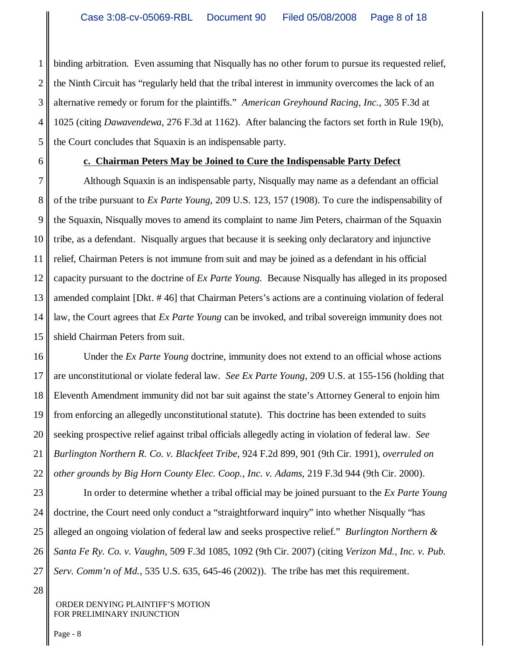1 2 3 4 5 binding arbitration. Even assuming that Nisqually has no other forum to pursue its requested relief, the Ninth Circuit has "regularly held that the tribal interest in immunity overcomes the lack of an alternative remedy or forum for the plaintiffs." *American Greyhound Racing, Inc.,* 305 F.3d at 1025 (citing *Dawavendewa*, 276 F.3d at 1162). After balancing the factors set forth in Rule 19(b), the Court concludes that Squaxin is an indispensable party.

6

#### **c. Chairman Peters May be Joined to Cure the Indispensable Party Defect**

7 8 9 10 11 12 13 14 15 Although Squaxin is an indispensable party, Nisqually may name as a defendant an official of the tribe pursuant to *Ex Parte Young,* 209 U.S. 123, 157 (1908). To cure the indispensability of the Squaxin, Nisqually moves to amend its complaint to name Jim Peters, chairman of the Squaxin tribe, as a defendant. Nisqually argues that because it is seeking only declaratory and injunctive relief, Chairman Peters is not immune from suit and may be joined as a defendant in his official capacity pursuant to the doctrine of *Ex Parte Young.* Because Nisqually has alleged in its proposed amended complaint [Dkt. # 46] that Chairman Peters's actions are a continuing violation of federal law, the Court agrees that *Ex Parte Young* can be invoked, and tribal sovereign immunity does not shield Chairman Peters from suit.

16 17 18 19 20 21 22 Under the *Ex Parte Young* doctrine, immunity does not extend to an official whose actions are unconstitutional or violate federal law. *See Ex Parte Young*, 209 U.S. at 155-156 (holding that Eleventh Amendment immunity did not bar suit against the state's Attorney General to enjoin him from enforcing an allegedly unconstitutional statute). This doctrine has been extended to suits seeking prospective relief against tribal officials allegedly acting in violation of federal law. *See Burlington Northern R. Co. v. Blackfeet Tribe*, 924 F.2d 899, 901 (9th Cir. 1991), *overruled on other grounds by Big Horn County Elec. Coop., Inc. v. Adams*, 219 F.3d 944 (9th Cir. 2000).

23 24 25 26 27 In order to determine whether a tribal official may be joined pursuant to the *Ex Parte Young* doctrine, the Court need only conduct a "straightforward inquiry" into whether Nisqually "has alleged an ongoing violation of federal law and seeks prospective relief." *Burlington Northern & Santa Fe Ry. Co. v. Vaughn*, 509 F.3d 1085, 1092 (9th Cir. 2007) (citing *Verizon Md., Inc. v. Pub. Serv. Comm'n of Md.*, 535 U.S. 635, 645-46 (2002)). The tribe has met this requirement.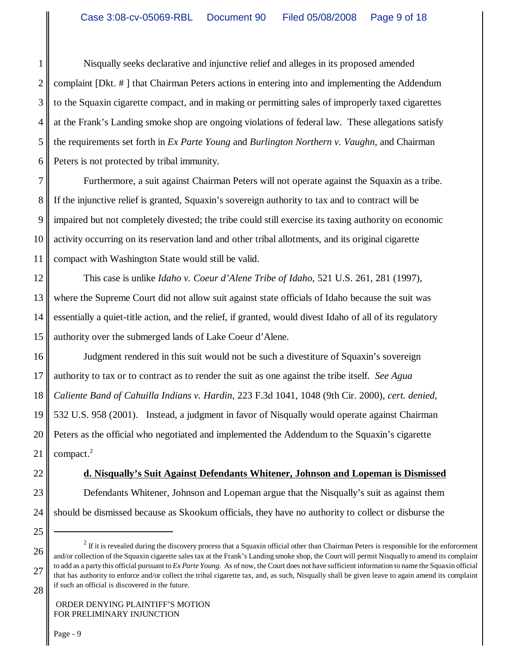1 2 3 4 5 6 Nisqually seeks declarative and injunctive relief and alleges in its proposed amended complaint [Dkt. # ] that Chairman Peters actions in entering into and implementing the Addendum to the Squaxin cigarette compact, and in making or permitting sales of improperly taxed cigarettes at the Frank's Landing smoke shop are ongoing violations of federal law. These allegations satisfy the requirements set forth in *Ex Parte Young* and *Burlington Northern v. Vaughn*, and Chairman Peters is not protected by tribal immunity.

7 8 9 10 11 Furthermore, a suit against Chairman Peters will not operate against the Squaxin as a tribe. If the injunctive relief is granted, Squaxin's sovereign authority to tax and to contract will be impaired but not completely divested; the tribe could still exercise its taxing authority on economic activity occurring on its reservation land and other tribal allotments, and its original cigarette compact with Washington State would still be valid.

12 13 14 15 This case is unlike *Idaho v. Coeur d'Alene Tribe of Idaho*, 521 U.S. 261, 281 (1997), where the Supreme Court did not allow suit against state officials of Idaho because the suit was essentially a quiet-title action, and the relief, if granted, would divest Idaho of all of its regulatory authority over the submerged lands of Lake Coeur d'Alene.

16 17 18 19 20 21 Judgment rendered in this suit would not be such a divestiture of Squaxin's sovereign authority to tax or to contract as to render the suit as one against the tribe itself. *See Agua Caliente Band of Cahuilla Indians v. Hardin*, 223 F.3d 1041, 1048 (9th Cir. 2000), *cert. denied*, 532 U.S. 958 (2001). Instead, a judgment in favor of Nisqually would operate against Chairman Peters as the official who negotiated and implemented the Addendum to the Squaxin's cigarette compact.<sup>2</sup>

- 22
- **d. Nisqually's Suit Against Defendants Whitener, Johnson and Lopeman is Dismissed**
- 23

# Defendants Whitener, Johnson and Lopeman argue that the Nisqually's suit as against them

- 24 should be dismissed because as Skookum officials, they have no authority to collect or disburse the
- 25

<sup>26</sup> 27 28  $2$  If it is revealed during the discovery process that a Squaxin official other than Chairman Peters is responsible for the enforcement and/or collection of the Squaxin cigarette sales tax at the Frank's Landing smoke shop, the Court will permit Nisqually to amend its complaint to add as a party this official pursuant to *Ex Parte Young*. As of now, the Court does not have sufficient information to name the Squaxin official that has authority to enforce and/or collect the tribal cigarette tax, and, as such, Nisqually shall be given leave to again amend its complaint if such an official is discovered in the future.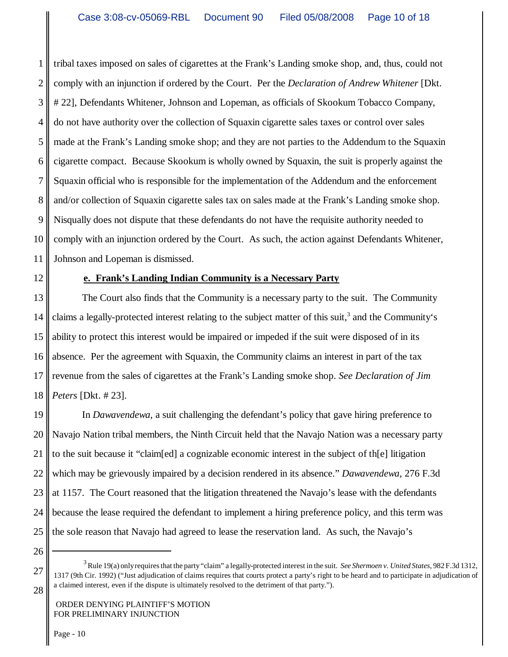1 2 3 4 5 6 7 8 9 10 11 tribal taxes imposed on sales of cigarettes at the Frank's Landing smoke shop, and, thus, could not comply with an injunction if ordered by the Court. Per the *Declaration of Andrew Whitener* [Dkt. # 22], Defendants Whitener, Johnson and Lopeman, as officials of Skookum Tobacco Company, do not have authority over the collection of Squaxin cigarette sales taxes or control over sales made at the Frank's Landing smoke shop; and they are not parties to the Addendum to the Squaxin cigarette compact. Because Skookum is wholly owned by Squaxin, the suit is properly against the Squaxin official who is responsible for the implementation of the Addendum and the enforcement and/or collection of Squaxin cigarette sales tax on sales made at the Frank's Landing smoke shop. Nisqually does not dispute that these defendants do not have the requisite authority needed to comply with an injunction ordered by the Court. As such, the action against Defendants Whitener, Johnson and Lopeman is dismissed.

12

## **e. Frank's Landing Indian Community is a Necessary Party**

13 14 15 16 17 18 The Court also finds that the Community is a necessary party to the suit. The Community claims a legally-protected interest relating to the subject matter of this suit,<sup>3</sup> and the Community's ability to protect this interest would be impaired or impeded if the suit were disposed of in its absence. Per the agreement with Squaxin, the Community claims an interest in part of the tax revenue from the sales of cigarettes at the Frank's Landing smoke shop. *See Declaration of Jim Peters* [Dkt. # 23].

19 20 21 22 23 24 25 In *Dawavendewa*, a suit challenging the defendant's policy that gave hiring preference to Navajo Nation tribal members, the Ninth Circuit held that the Navajo Nation was a necessary party to the suit because it "claim[ed] a cognizable economic interest in the subject of th[e] litigation which may be grievously impaired by a decision rendered in its absence." *Dawavendewa*, 276 F.3d at 1157. The Court reasoned that the litigation threatened the Navajo's lease with the defendants because the lease required the defendant to implement a hiring preference policy, and this term was the sole reason that Navajo had agreed to lease the reservation land. As such, the Navajo's

26

27

<sup>3</sup> Rule 19(a) only requires that the party "claim" a legally-protected interest in the suit. *See Shermoen v. United States*, 982 F.3d 1312, 1317 (9th Cir. 1992) ("Just adjudication of claims requires that courts protect a party's right to be heard and to participate in adjudication of a claimed interest, even if the dispute is ultimately resolved to the detriment of that party.").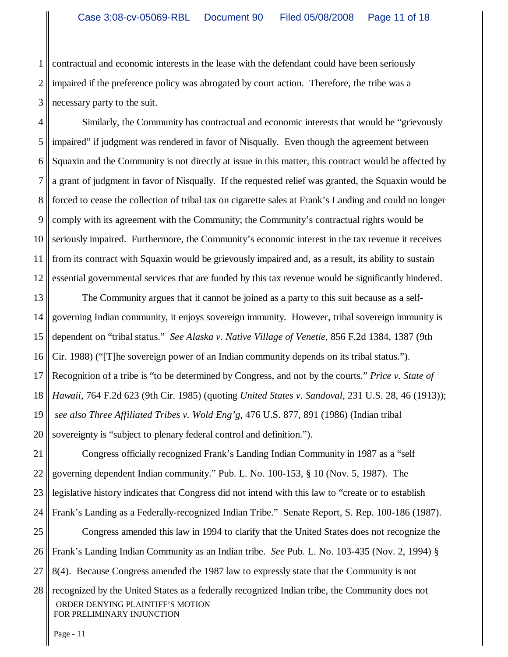1 2 3 contractual and economic interests in the lease with the defendant could have been seriously impaired if the preference policy was abrogated by court action. Therefore, the tribe was a necessary party to the suit.

4 5 6 7 8 9 10 11 12 Similarly, the Community has contractual and economic interests that would be "grievously impaired" if judgment was rendered in favor of Nisqually. Even though the agreement between Squaxin and the Community is not directly at issue in this matter, this contract would be affected by a grant of judgment in favor of Nisqually. If the requested relief was granted, the Squaxin would be forced to cease the collection of tribal tax on cigarette sales at Frank's Landing and could no longer comply with its agreement with the Community; the Community's contractual rights would be seriously impaired. Furthermore, the Community's economic interest in the tax revenue it receives from its contract with Squaxin would be grievously impaired and, as a result, its ability to sustain essential governmental services that are funded by this tax revenue would be significantly hindered.

13 14 15 16 17 18 19 20 The Community argues that it cannot be joined as a party to this suit because as a selfgoverning Indian community, it enjoys sovereign immunity. However, tribal sovereign immunity is dependent on "tribal status." *See Alaska v. Native Village of Venetie*, 856 F.2d 1384, 1387 (9th Cir. 1988) ("[T]he sovereign power of an Indian community depends on its tribal status."). Recognition of a tribe is "to be determined by Congress, and not by the courts." *Price v. State of Hawaii*, 764 F.2d 623 (9th Cir. 1985) (quoting *United States v. Sandoval*, 231 U.S. 28, 46 (1913));  *see also Three Affiliated Tribes v. Wold Eng'g*, 476 U.S. 877, 891 (1986) (Indian tribal sovereignty is "subject to plenary federal control and definition.").

21 22 23 24 25 26 27 28 ORDER DENYING PLAINTIFF'S MOTION FOR PRELIMINARY INJUNCTION Congress officially recognized Frank's Landing Indian Community in 1987 as a "self governing dependent Indian community." Pub. L. No. 100-153, § 10 (Nov. 5, 1987). The legislative history indicates that Congress did not intend with this law to "create or to establish Frank's Landing as a Federally-recognized Indian Tribe." Senate Report, S. Rep. 100-186 (1987). Congress amended this law in 1994 to clarify that the United States does not recognize the Frank's Landing Indian Community as an Indian tribe. *See* Pub. L. No. 103-435 (Nov. 2, 1994) § 8(4). Because Congress amended the 1987 law to expressly state that the Community is not recognized by the United States as a federally recognized Indian tribe, the Community does not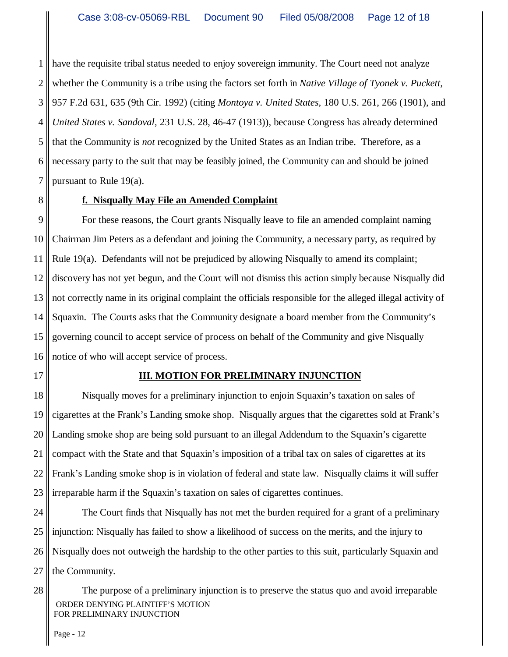1 2 3 4 5 6 7 have the requisite tribal status needed to enjoy sovereign immunity. The Court need not analyze whether the Community is a tribe using the factors set forth in *Native Village of Tyonek v. Puckett,* 957 F.2d 631, 635 (9th Cir. 1992) (citing *Montoya v. United States,* 180 U.S. 261, 266 (1901), and *United States v. Sandoval*, 231 U.S. 28, 46-47 (1913)), because Congress has already determined that the Community is *not* recognized by the United States as an Indian tribe. Therefore, as a necessary party to the suit that may be feasibly joined, the Community can and should be joined pursuant to Rule 19(a).

8

## **f. Nisqually May File an Amended Complaint**

9 10 11 12 13 14 15 16 For these reasons, the Court grants Nisqually leave to file an amended complaint naming Chairman Jim Peters as a defendant and joining the Community, a necessary party, as required by Rule 19(a). Defendants will not be prejudiced by allowing Nisqually to amend its complaint; discovery has not yet begun, and the Court will not dismiss this action simply because Nisqually did not correctly name in its original complaint the officials responsible for the alleged illegal activity of Squaxin. The Courts asks that the Community designate a board member from the Community's governing council to accept service of process on behalf of the Community and give Nisqually notice of who will accept service of process.

17

#### **III. MOTION FOR PRELIMINARY INJUNCTION**

18 19 20 21 22 23 Nisqually moves for a preliminary injunction to enjoin Squaxin's taxation on sales of cigarettes at the Frank's Landing smoke shop. Nisqually argues that the cigarettes sold at Frank's Landing smoke shop are being sold pursuant to an illegal Addendum to the Squaxin's cigarette compact with the State and that Squaxin's imposition of a tribal tax on sales of cigarettes at its Frank's Landing smoke shop is in violation of federal and state law. Nisqually claims it will suffer irreparable harm if the Squaxin's taxation on sales of cigarettes continues.

24 25 26 27 The Court finds that Nisqually has not met the burden required for a grant of a preliminary injunction: Nisqually has failed to show a likelihood of success on the merits, and the injury to Nisqually does not outweigh the hardship to the other parties to this suit, particularly Squaxin and the Community.

28 ORDER DENYING PLAINTIFF'S MOTION FOR PRELIMINARY INJUNCTION The purpose of a preliminary injunction is to preserve the status quo and avoid irreparable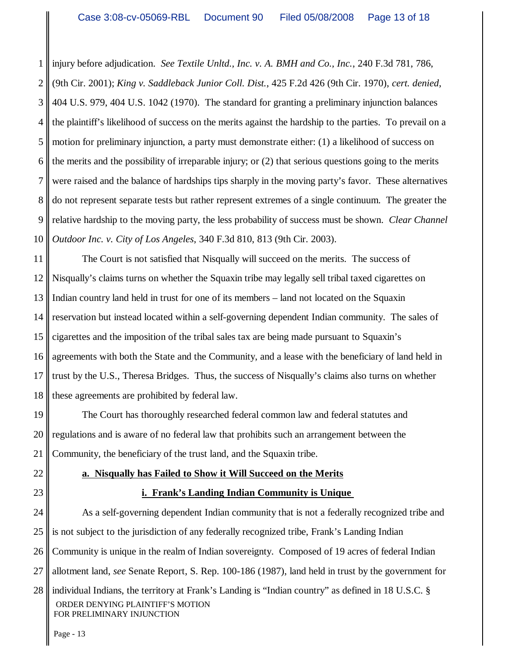1 2 3 4 5 6 7 8 9 10 injury before adjudication. *See Textile Unltd., Inc. v. A. BMH and Co., Inc.*, 240 F.3d 781, 786, (9th Cir. 2001); *King v. Saddleback Junior Coll. Dist.*, 425 F.2d 426 (9th Cir. 1970), *cert. denied*, 404 U.S. 979, 404 U.S. 1042 (1970). The standard for granting a preliminary injunction balances the plaintiff's likelihood of success on the merits against the hardship to the parties. To prevail on a motion for preliminary injunction, a party must demonstrate either: (1) a likelihood of success on the merits and the possibility of irreparable injury; or (2) that serious questions going to the merits were raised and the balance of hardships tips sharply in the moving party's favor. These alternatives do not represent separate tests but rather represent extremes of a single continuum. The greater the relative hardship to the moving party, the less probability of success must be shown. *Clear Channel Outdoor Inc. v. City of Los Angeles*, 340 F.3d 810, 813 (9th Cir. 2003).

11 12 13 14 15 16 17 18 The Court is not satisfied that Nisqually will succeed on the merits. The success of Nisqually's claims turns on whether the Squaxin tribe may legally sell tribal taxed cigarettes on Indian country land held in trust for one of its members – land not located on the Squaxin reservation but instead located within a self-governing dependent Indian community. The sales of cigarettes and the imposition of the tribal sales tax are being made pursuant to Squaxin's agreements with both the State and the Community, and a lease with the beneficiary of land held in trust by the U.S., Theresa Bridges. Thus, the success of Nisqually's claims also turns on whether these agreements are prohibited by federal law.

19 20 21 The Court has thoroughly researched federal common law and federal statutes and regulations and is aware of no federal law that prohibits such an arrangement between the Community, the beneficiary of the trust land, and the Squaxin tribe.

- 22
- 23

#### **a. Nisqually has Failed to Show it Will Succeed on the Merits**

#### **i. Frank's Landing Indian Community is Unique**

24 25 26 27 28 ORDER DENYING PLAINTIFF'S MOTION As a self-governing dependent Indian community that is not a federally recognized tribe and is not subject to the jurisdiction of any federally recognized tribe, Frank's Landing Indian Community is unique in the realm of Indian sovereignty. Composed of 19 acres of federal Indian allotment land, *see* Senate Report, S. Rep. 100-186 (1987), land held in trust by the government for individual Indians, the territory at Frank's Landing is "Indian country" as defined in 18 U.S.C. §

FOR PRELIMINARY INJUNCTION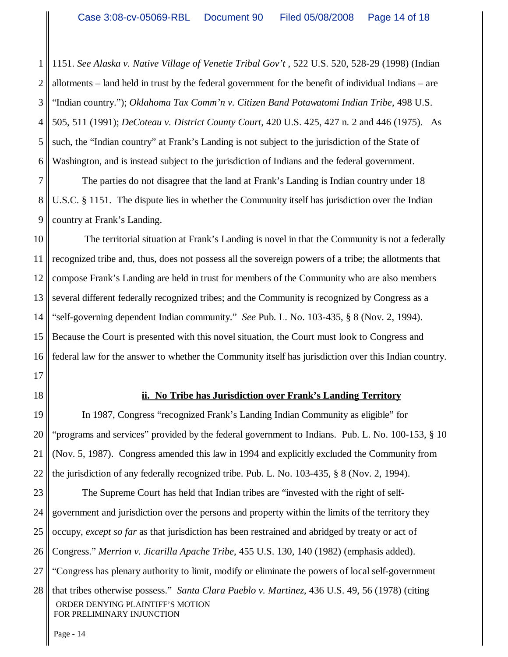1 2 3 4 5 6 1151. *See Alaska v. Native Village of Venetie Tribal Gov't* , 522 U.S. 520, 528-29 (1998) (Indian allotments – land held in trust by the federal government for the benefit of individual Indians – are "Indian country."); *Oklahoma Tax Comm'n v. Citizen Band Potawatomi Indian Tribe*, 498 U.S. 505, 511 (1991); *DeCoteau v. District County Court*, 420 U.S. 425, 427 n. 2 and 446 (1975). As such, the "Indian country" at Frank's Landing is not subject to the jurisdiction of the State of Washington, and is instead subject to the jurisdiction of Indians and the federal government.

7 8 9 The parties do not disagree that the land at Frank's Landing is Indian country under 18 U.S.C. § 1151. The dispute lies in whether the Community itself has jurisdiction over the Indian country at Frank's Landing.

10 11 12 13 14 15 16 The territorial situation at Frank's Landing is novel in that the Community is not a federally recognized tribe and, thus, does not possess all the sovereign powers of a tribe; the allotments that compose Frank's Landing are held in trust for members of the Community who are also members several different federally recognized tribes; and the Community is recognized by Congress as a "self-governing dependent Indian community." *See* Pub. L. No. 103-435, § 8 (Nov. 2, 1994). Because the Court is presented with this novel situation, the Court must look to Congress and federal law for the answer to whether the Community itself has jurisdiction over this Indian country.

17

18

## **ii. No Tribe has Jurisdiction over Frank's Landing Territory**

19 20 21 22 In 1987, Congress "recognized Frank's Landing Indian Community as eligible" for "programs and services" provided by the federal government to Indians. Pub. L. No. 100-153, § 10 (Nov. 5, 1987). Congress amended this law in 1994 and explicitly excluded the Community from the jurisdiction of any federally recognized tribe. Pub. L. No. 103-435, § 8 (Nov. 2, 1994).

23 24 25 26 27 28 The Supreme Court has held that Indian tribes are "invested with the right of selfgovernment and jurisdiction over the persons and property within the limits of the territory they occupy, *except so far* as that jurisdiction has been restrained and abridged by treaty or act of Congress." *Merrion v. Jicarilla Apache Tribe*, 455 U.S. 130, 140 (1982) (emphasis added). "Congress has plenary authority to limit, modify or eliminate the powers of local self-government

 ORDER DENYING PLAINTIFF'S MOTION FOR PRELIMINARY INJUNCTION that tribes otherwise possess." *Santa Clara Pueblo v. Martinez*, 436 U.S. 49, 56 (1978) (citing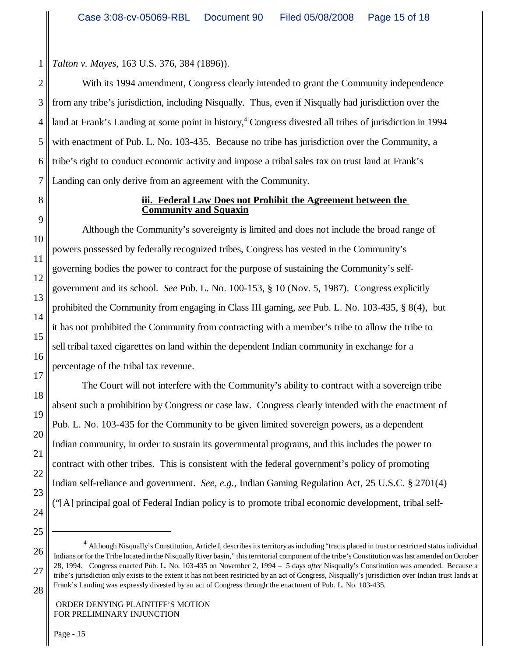*Talton v. Mayes*, 163 U.S. 376, 384 (1896)).

2 3 4 5 6 7 With its 1994 amendment, Congress clearly intended to grant the Community independence from any tribe's jurisdiction, including Nisqually. Thus, even if Nisqually had jurisdiction over the land at Frank's Landing at some point in history,<sup>4</sup> Congress divested all tribes of jurisdiction in 1994 with enactment of Pub. L. No. 103-435. Because no tribe has jurisdiction over the Community, a tribe's right to conduct economic activity and impose a tribal sales tax on trust land at Frank's Landing can only derive from an agreement with the Community.

8

1

#### **iii. Federal Law Does not Prohibit the Agreement between the Community and Squaxin**

9 10 11 12 13 14 15 16 17 Although the Community's sovereignty is limited and does not include the broad range of powers possessed by federally recognized tribes, Congress has vested in the Community's governing bodies the power to contract for the purpose of sustaining the Community's selfgovernment and its school. *See* Pub. L. No. 100-153, § 10 (Nov. 5, 1987). Congress explicitly prohibited the Community from engaging in Class III gaming, *see* Pub. L. No. 103-435, § 8(4), but it has not prohibited the Community from contracting with a member's tribe to allow the tribe to sell tribal taxed cigarettes on land within the dependent Indian community in exchange for a percentage of the tribal tax revenue.

18 19 20 21 22 24 The Court will not interfere with the Community's ability to contract with a sovereign tribe absent such a prohibition by Congress or case law. Congress clearly intended with the enactment of Pub. L. No. 103-435 for the Community to be given limited sovereign powers, as a dependent Indian community, in order to sustain its governmental programs, and this includes the power to contract with other tribes. This is consistent with the federal government's policy of promoting Indian self-reliance and government. *See, e.g.,* Indian Gaming Regulation Act, 25 U.S.C. § 2701(4) ("[A] principal goal of Federal Indian policy is to promote tribal economic development, tribal self-

25

26

27

28

<sup>&</sup>lt;sup>4</sup> Although Nisqually's Constitution, Article I, describes its territory as including "tracts placed in trust or restricted status individual Indians or for the Tribe located in the Nisqually River basin," this territorial component of the tribe's Constitution was last amended on October 28, 1994. Congress enacted Pub. L. No. 103-435 on November 2, 1994 – 5 days *after* Nisqually's Constitution was amended. Because a tribe's jurisdiction only exists to the extent it has not been restricted by an act of Congress, Nisqually's jurisdiction over Indian trust lands at Frank's Landing was expressly divested by an act of Congress through the enactment of Pub. L. No. 103-435.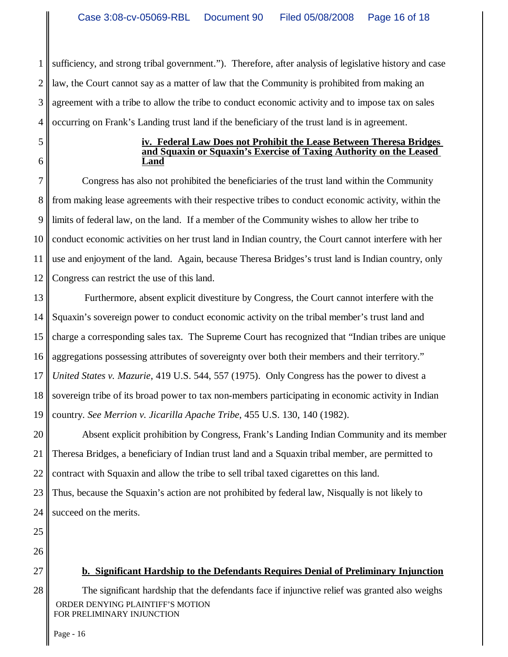1 2 3 4 sufficiency, and strong tribal government."). Therefore, after analysis of legislative history and case law, the Court cannot say as a matter of law that the Community is prohibited from making an agreement with a tribe to allow the tribe to conduct economic activity and to impose tax on sales occurring on Frank's Landing trust land if the beneficiary of the trust land is in agreement.

5 6

#### **iv. Federal Law Does not Prohibit the Lease Between Theresa Bridges and Squaxin or Squaxin's Exercise of Taxing Authority on the Leased Land**

7 8 9 10 11 12 Congress has also not prohibited the beneficiaries of the trust land within the Community from making lease agreements with their respective tribes to conduct economic activity, within the limits of federal law, on the land. If a member of the Community wishes to allow her tribe to conduct economic activities on her trust land in Indian country, the Court cannot interfere with her use and enjoyment of the land. Again, because Theresa Bridges's trust land is Indian country, only Congress can restrict the use of this land.

13 14 15 16 17 18 19 Furthermore, absent explicit divestiture by Congress, the Court cannot interfere with the Squaxin's sovereign power to conduct economic activity on the tribal member's trust land and charge a corresponding sales tax. The Supreme Court has recognized that "Indian tribes are unique aggregations possessing attributes of sovereignty over both their members and their territory." *United States v. Mazurie*, 419 U.S. 544, 557 (1975). Only Congress has the power to divest a sovereign tribe of its broad power to tax non-members participating in economic activity in Indian country. *See Merrion v. Jicarilla Apache Tribe*, 455 U.S. 130, 140 (1982).

20 21 22 Absent explicit prohibition by Congress, Frank's Landing Indian Community and its member Theresa Bridges, a beneficiary of Indian trust land and a Squaxin tribal member, are permitted to contract with Squaxin and allow the tribe to sell tribal taxed cigarettes on this land.

23 24 Thus, because the Squaxin's action are not prohibited by federal law, Nisqually is not likely to succeed on the merits.

25

26

27

28

**b. Significant Hardship to the Defendants Requires Denial of Preliminary Injunction**

 ORDER DENYING PLAINTIFF'S MOTION FOR PRELIMINARY INJUNCTION The significant hardship that the defendants face if injunctive relief was granted also weighs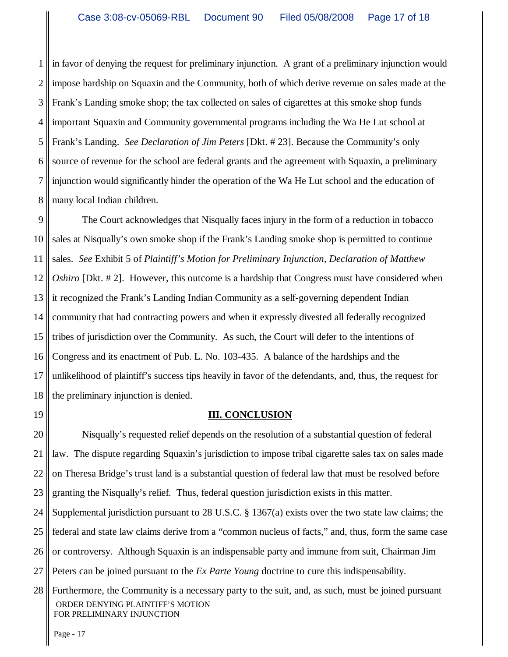1 2 3 4 5 6 7 8 in favor of denying the request for preliminary injunction. A grant of a preliminary injunction would impose hardship on Squaxin and the Community, both of which derive revenue on sales made at the Frank's Landing smoke shop; the tax collected on sales of cigarettes at this smoke shop funds important Squaxin and Community governmental programs including the Wa He Lut school at Frank's Landing. *See Declaration of Jim Peters* [Dkt. # 23]. Because the Community's only source of revenue for the school are federal grants and the agreement with Squaxin, a preliminary injunction would significantly hinder the operation of the Wa He Lut school and the education of many local Indian children.

9 10 11 12 13 14 15 16 17 18 The Court acknowledges that Nisqually faces injury in the form of a reduction in tobacco sales at Nisqually's own smoke shop if the Frank's Landing smoke shop is permitted to continue sales. *See* Exhibit 5 of *Plaintiff's Motion for Preliminary Injunction, Declaration of Matthew Oshiro* [Dkt. # 2]. However, this outcome is a hardship that Congress must have considered when it recognized the Frank's Landing Indian Community as a self-governing dependent Indian community that had contracting powers and when it expressly divested all federally recognized tribes of jurisdiction over the Community. As such, the Court will defer to the intentions of Congress and its enactment of Pub. L. No. 103-435. A balance of the hardships and the unlikelihood of plaintiff's success tips heavily in favor of the defendants, and, thus, the request for the preliminary injunction is denied.

19

#### **III. CONCLUSION**

20 21 22 23 Nisqually's requested relief depends on the resolution of a substantial question of federal law. The dispute regarding Squaxin's jurisdiction to impose tribal cigarette sales tax on sales made on Theresa Bridge's trust land is a substantial question of federal law that must be resolved before granting the Nisqually's relief. Thus, federal question jurisdiction exists in this matter.

24 25 Supplemental jurisdiction pursuant to 28 U.S.C. § 1367(a) exists over the two state law claims; the federal and state law claims derive from a "common nucleus of facts," and, thus, form the same case

26 or controversy. Although Squaxin is an indispensable party and immune from suit, Chairman Jim

27 Peters can be joined pursuant to the *Ex Parte Young* doctrine to cure this indispensability.

28 ORDER DENYING PLAINTIFF'S MOTION FOR PRELIMINARY INJUNCTION Furthermore, the Community is a necessary party to the suit, and, as such, must be joined pursuant